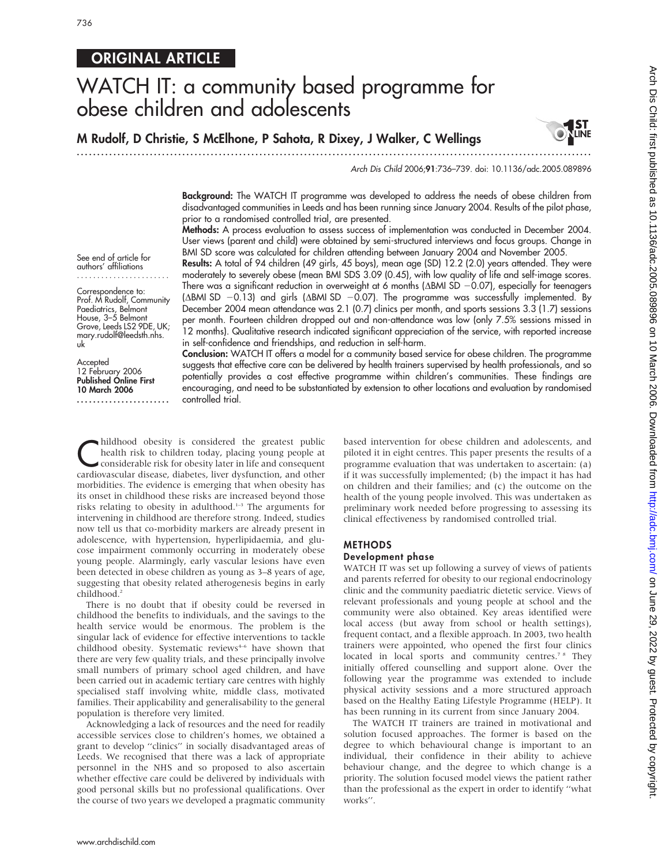## ORIGINAL ARTICLE

# WATCH IT: a community based programme for obese children and adolescents

M Rudolf, D Christie, S McElhone, P Sahota, R Dixey, J Walker, C Wellings

.............................................................................................................................. .

Arch Dis Child 2006;91:736–739. doi: 10.1136/adc.2005.089896

**I ST<br>Line** 

Background: The WATCH IT programme was developed to address the needs of obese children from disadvantaged communities in Leeds and has been running since January 2004. Results of the pilot phase, prior to a randomised controlled trial, are presented.

Methods: A process evaluation to assess success of implementation was conducted in December 2004. User views (parent and child) were obtained by semi-structured interviews and focus groups. Change in

See end of article for authors' affiliations .......................

Correspondence to: Prof. M Rudolf, Community Paediatrics, Belmont House, 3–5 Belmont Grove, Leeds LS2 9DE, UK; mary.rudolf@leedsth.nhs. uk

Accepted 12 February 2006 Published Online First 10 March 2006 ....................... BMI SD score was calculated for children attending between January 2004 and November 2005. Results: A total of 94 children (49 girls, 45 boys), mean age (SD) 12.2 (2.0) years attended. They were moderately to severely obese (mean BMI SDS 3.09 (0.45), with low quality of life and self-image scores. There was a significant reduction in overweight at 6 months ( $\Delta$ BMI SD -0.07), especially for teenagers  $(\Delta$ BMI SD -0.13) and girls ( $\Delta$ BMI SD -0.07). The programme was successfully implemented. By December 2004 mean attendance was 2.1 (0.7) clinics per month, and sports sessions 3.3 (1.7) sessions per month. Fourteen children dropped out and non-attendance was low (only 7.5% sessions missed in 12 months). Qualitative research indicated significant appreciation of the service, with reported increase in self-confidence and friendships, and reduction in self-harm.

Conclusion: WATCH IT offers a model for a community based service for obese children. The programme suggests that effective care can be delivered by health trainers supervised by health professionals, and so potentially provides a cost effective programme within children's communities. These findings are encouraging, and need to be substantiated by extension to other locations and evaluation by randomised controlled trial.

childhood obesity is considered the greatest public<br>
considerable risk for obesity later in life and consequent<br>
considerable risk for obesity later in life and consequent<br>
considerable risk for due due due that health risk to children today, placing young people at cardiovascular disease, diabetes, liver dysfunction, and other morbidities. The evidence is emerging that when obesity has its onset in childhood these risks are increased beyond those risks relating to obesity in adulthood.1–3 The arguments for intervening in childhood are therefore strong. Indeed, studies now tell us that co-morbidity markers are already present in adolescence, with hypertension, hyperlipidaemia, and glucose impairment commonly occurring in moderately obese young people. Alarmingly, early vascular lesions have even been detected in obese children as young as 3–8 years of age, suggesting that obesity related atherogenesis begins in early childhood.<sup>2</sup>

There is no doubt that if obesity could be reversed in childhood the benefits to individuals, and the savings to the health service would be enormous. The problem is the singular lack of evidence for effective interventions to tackle childhood obesity. Systematic reviews<sup>4-6</sup> have shown that there are very few quality trials, and these principally involve small numbers of primary school aged children, and have been carried out in academic tertiary care centres with highly specialised staff involving white, middle class, motivated families. Their applicability and generalisability to the general population is therefore very limited.

Acknowledging a lack of resources and the need for readily accessible services close to children's homes, we obtained a grant to develop ''clinics'' in socially disadvantaged areas of Leeds. We recognised that there was a lack of appropriate personnel in the NHS and so proposed to also ascertain whether effective care could be delivered by individuals with good personal skills but no professional qualifications. Over the course of two years we developed a pragmatic community

based intervention for obese children and adolescents, and piloted it in eight centres. This paper presents the results of a programme evaluation that was undertaken to ascertain: (a) if it was successfully implemented; (b) the impact it has had on children and their families; and (c) the outcome on the health of the young people involved. This was undertaken as preliminary work needed before progressing to assessing its clinical effectiveness by randomised controlled trial.

## METHODS

## Development phase

WATCH IT was set up following a survey of views of patients and parents referred for obesity to our regional endocrinology clinic and the community paediatric dietetic service. Views of relevant professionals and young people at school and the community were also obtained. Key areas identified were local access (but away from school or health settings), frequent contact, and a flexible approach. In 2003, two health trainers were appointed, who opened the first four clinics located in local sports and community centres.<sup>78</sup> They initially offered counselling and support alone. Over the following year the programme was extended to include physical activity sessions and a more structured approach based on the Healthy Eating Lifestyle Programme (HELP). It has been running in its current from since January 2004.

The WATCH IT trainers are trained in motivational and solution focused approaches. The former is based on the degree to which behavioural change is important to an individual, their confidence in their ability to achieve behaviour change, and the degree to which change is a priority. The solution focused model views the patient rather than the professional as the expert in order to identify ''what works''.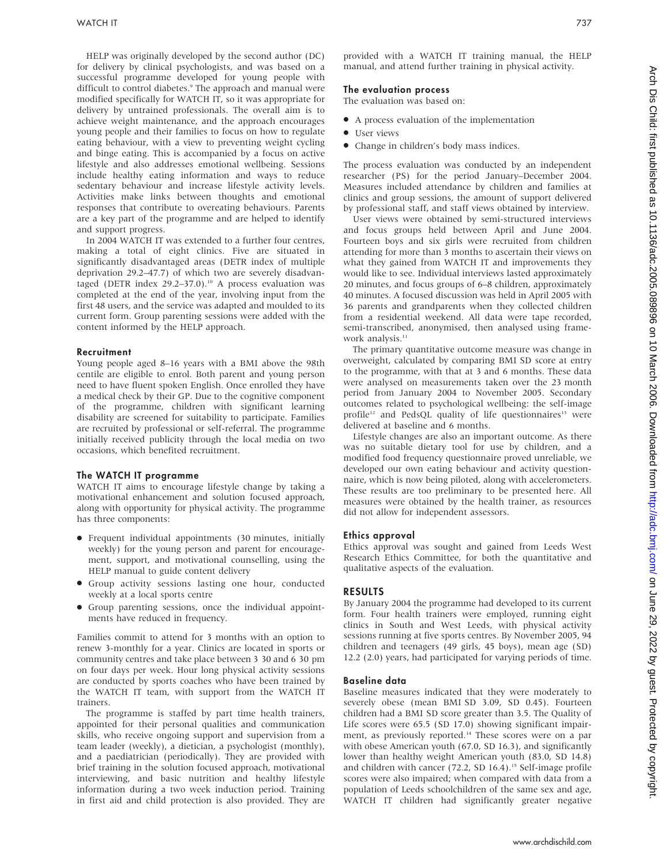HELP was originally developed by the second author (DC) for delivery by clinical psychologists, and was based on a successful programme developed for young people with difficult to control diabetes.<sup>9</sup> The approach and manual were modified specifically for WATCH IT, so it was appropriate for delivery by untrained professionals. The overall aim is to achieve weight maintenance, and the approach encourages young people and their families to focus on how to regulate eating behaviour, with a view to preventing weight cycling and binge eating. This is accompanied by a focus on active lifestyle and also addresses emotional wellbeing. Sessions include healthy eating information and ways to reduce sedentary behaviour and increase lifestyle activity levels. Activities make links between thoughts and emotional responses that contribute to overeating behaviours. Parents are a key part of the programme and are helped to identify and support progress.

In 2004 WATCH IT was extended to a further four centres, making a total of eight clinics. Five are situated in significantly disadvantaged areas (DETR index of multiple deprivation 29.2–47.7) of which two are severely disadvantaged (DETR index  $29.2-37.0$ ).<sup>10</sup> A process evaluation was completed at the end of the year, involving input from the first 48 users, and the service was adapted and moulded to its current form. Group parenting sessions were added with the content informed by the HELP approach.

#### Recruitment

Young people aged 8–16 years with a BMI above the 98th centile are eligible to enrol. Both parent and young person need to have fluent spoken English. Once enrolled they have a medical check by their GP. Due to the cognitive component of the programme, children with significant learning disability are screened for suitability to participate. Families are recruited by professional or self-referral. The programme initially received publicity through the local media on two occasions, which benefited recruitment.

#### The WATCH IT programme

WATCH IT aims to encourage lifestyle change by taking a motivational enhancement and solution focused approach, along with opportunity for physical activity. The programme has three components:

- N Frequent individual appointments (30 minutes, initially weekly) for the young person and parent for encouragement, support, and motivational counselling, using the HELP manual to guide content delivery
- N Group activity sessions lasting one hour, conducted weekly at a local sports centre
- N Group parenting sessions, once the individual appointments have reduced in frequency.

Families commit to attend for 3 months with an option to renew 3-monthly for a year. Clinics are located in sports or community centres and take place between 3 30 and 6 30 pm on four days per week. Hour long physical activity sessions are conducted by sports coaches who have been trained by the WATCH IT team, with support from the WATCH IT trainers.

The programme is staffed by part time health trainers, appointed for their personal qualities and communication skills, who receive ongoing support and supervision from a team leader (weekly), a dietician, a psychologist (monthly), and a paediatrician (periodically). They are provided with brief training in the solution focused approach, motivational interviewing, and basic nutrition and healthy lifestyle information during a two week induction period. Training in first aid and child protection is also provided. They are

provided with a WATCH IT training manual, the HELP manual, and attend further training in physical activity.

## The evaluation process

The evaluation was based on:

- N A process evaluation of the implementation
- User views
- Change in children's body mass indices.

The process evaluation was conducted by an independent researcher (PS) for the period January–December 2004. Measures included attendance by children and families at clinics and group sessions, the amount of support delivered by professional staff, and staff views obtained by interview.

User views were obtained by semi-structured interviews and focus groups held between April and June 2004. Fourteen boys and six girls were recruited from children attending for more than 3 months to ascertain their views on what they gained from WATCH IT and improvements they would like to see. Individual interviews lasted approximately 20 minutes, and focus groups of 6–8 children, approximately 40 minutes. A focused discussion was held in April 2005 with 36 parents and grandparents when they collected children from a residential weekend. All data were tape recorded, semi-transcribed, anonymised, then analysed using framework analysis.<sup>11</sup>

The primary quantitative outcome measure was change in overweight, calculated by comparing BMI SD score at entry to the programme, with that at 3 and 6 months. These data were analysed on measurements taken over the 23 month period from January 2004 to November 2005. Secondary outcomes related to psychological wellbeing: the self-image profile<sup>12</sup> and PedsQL quality of life questionnaires<sup>13</sup> were delivered at baseline and 6 months.

Lifestyle changes are also an important outcome. As there was no suitable dietary tool for use by children, and a modified food frequency questionnaire proved unreliable, we developed our own eating behaviour and activity questionnaire, which is now being piloted, along with accelerometers. These results are too preliminary to be presented here. All measures were obtained by the health trainer, as resources did not allow for independent assessors.

#### Ethics approval

Ethics approval was sought and gained from Leeds West Research Ethics Committee, for both the quantitative and qualitative aspects of the evaluation.

#### RESULTS

By January 2004 the programme had developed to its current form. Four health trainers were employed, running eight clinics in South and West Leeds, with physical activity sessions running at five sports centres. By November 2005, 94 children and teenagers (49 girls, 45 boys), mean age (SD) 12.2 (2.0) years, had participated for varying periods of time.

#### Baseline data

Baseline measures indicated that they were moderately to severely obese (mean BMI SD 3.09, SD 0.45). Fourteen children had a BMI SD score greater than 3.5. The Quality of Life scores were 65.5 (SD 17.0) showing significant impairment, as previously reported.<sup>14</sup> These scores were on a par with obese American youth (67.0, SD 16.3), and significantly lower than healthy weight American youth (83.0, SD 14.8) and children with cancer (72.2, SD 16.4).<sup>15</sup> Self-image profile scores were also impaired; when compared with data from a population of Leeds schoolchildren of the same sex and age, WATCH IT children had significantly greater negative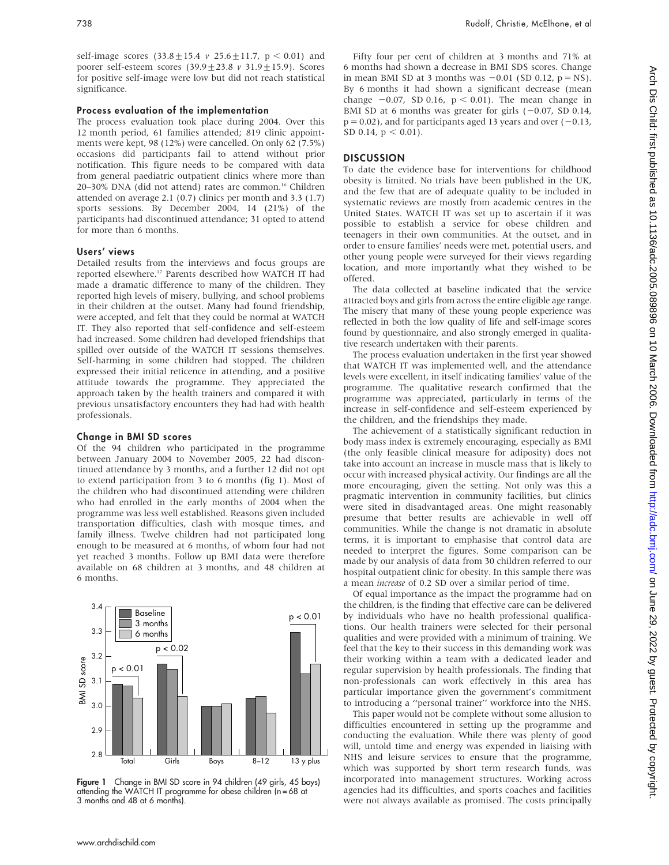self-image scores  $(33.8 \pm 15.4 \text{ v } 25.6 \pm 11.7, \text{ p } < 0.01)$  and poorer self-esteem scores  $(39.9 \pm 23.8 \text{ v } 31.9 \pm 15.9)$ . Scores for positive self-image were low but did not reach statistical significance.

#### Process evaluation of the implementation

The process evaluation took place during 2004. Over this 12 month period, 61 families attended; 819 clinic appointments were kept, 98 (12%) were cancelled. On only 62 (7.5%) occasions did participants fail to attend without prior notification. This figure needs to be compared with data from general paediatric outpatient clinics where more than 20–30% DNA (did not attend) rates are common.<sup>16</sup> Children attended on average 2.1 (0.7) clinics per month and 3.3 (1.7) sports sessions. By December 2004, 14 (21%) of the participants had discontinued attendance; 31 opted to attend for more than 6 months.

#### Users' views

Detailed results from the interviews and focus groups are reported elsewhere.17 Parents described how WATCH IT had made a dramatic difference to many of the children. They reported high levels of misery, bullying, and school problems in their children at the outset. Many had found friendship, were accepted, and felt that they could be normal at WATCH IT. They also reported that self-confidence and self-esteem had increased. Some children had developed friendships that spilled over outside of the WATCH IT sessions themselves. Self-harming in some children had stopped. The children expressed their initial reticence in attending, and a positive attitude towards the programme. They appreciated the approach taken by the health trainers and compared it with previous unsatisfactory encounters they had had with health professionals.

#### Change in BMI SD scores

Of the 94 children who participated in the programme between January 2004 to November 2005, 22 had discontinued attendance by 3 months, and a further 12 did not opt to extend participation from 3 to 6 months (fig 1). Most of the children who had discontinued attending were children who had enrolled in the early months of 2004 when the programme was less well established. Reasons given included transportation difficulties, clash with mosque times, and family illness. Twelve children had not participated long enough to be measured at 6 months, of whom four had not yet reached 3 months. Follow up BMI data were therefore available on 68 children at 3 months, and 48 children at 6 months.



Figure 1 Change in BMI SD score in 94 children (49 girls, 45 boys) attending the WATCH IT programme for obese children (n = 68 at 3 months and 48 at 6 months).

Fifty four per cent of children at 3 months and 71% at 6 months had shown a decrease in BMI SDS scores. Change in mean BMI SD at 3 months was  $-0.01$  (SD 0.12, p = NS). By 6 months it had shown a significant decrease (mean change  $-0.07$ , SD 0.16,  $p < 0.01$ ). The mean change in BMI SD at 6 months was greater for girls  $(-0.07, SD 0.14,$  $p = 0.02$ ), and for participants aged 13 years and over  $(-0.13, 0.15)$ SD 0.14,  $p < 0.01$ ).

## **DISCUSSION**

To date the evidence base for interventions for childhood obesity is limited. No trials have been published in the UK, and the few that are of adequate quality to be included in systematic reviews are mostly from academic centres in the United States. WATCH IT was set up to ascertain if it was possible to establish a service for obese children and teenagers in their own communities. At the outset, and in order to ensure families' needs were met, potential users, and other young people were surveyed for their views regarding location, and more importantly what they wished to be offered.

The data collected at baseline indicated that the service attracted boys and girls from across the entire eligible age range. The misery that many of these young people experience was reflected in both the low quality of life and self-image scores found by questionnaire, and also strongly emerged in qualitative research undertaken with their parents.

The process evaluation undertaken in the first year showed that WATCH IT was implemented well, and the attendance levels were excellent, in itself indicating families' value of the programme. The qualitative research confirmed that the programme was appreciated, particularly in terms of the increase in self-confidence and self-esteem experienced by the children, and the friendships they made.

The achievement of a statistically significant reduction in body mass index is extremely encouraging, especially as BMI (the only feasible clinical measure for adiposity) does not take into account an increase in muscle mass that is likely to occur with increased physical activity. Our findings are all the more encouraging, given the setting. Not only was this a pragmatic intervention in community facilities, but clinics were sited in disadvantaged areas. One might reasonably presume that better results are achievable in well off communities. While the change is not dramatic in absolute terms, it is important to emphasise that control data are needed to interpret the figures. Some comparison can be made by our analysis of data from 30 children referred to our hospital outpatient clinic for obesity. In this sample there was a mean increase of 0.2 SD over a similar period of time.

Of equal importance as the impact the programme had on the children, is the finding that effective care can be delivered by individuals who have no health professional qualifications. Our health trainers were selected for their personal qualities and were provided with a minimum of training. We feel that the key to their success in this demanding work was their working within a team with a dedicated leader and regular supervision by health professionals. The finding that non-professionals can work effectively in this area has particular importance given the government's commitment to introducing a ''personal trainer'' workforce into the NHS.

This paper would not be complete without some allusion to difficulties encountered in setting up the programme and conducting the evaluation. While there was plenty of good will, untold time and energy was expended in liaising with NHS and leisure services to ensure that the programme, which was supported by short term research funds, was incorporated into management structures. Working across agencies had its difficulties, and sports coaches and facilities were not always available as promised. The costs principally